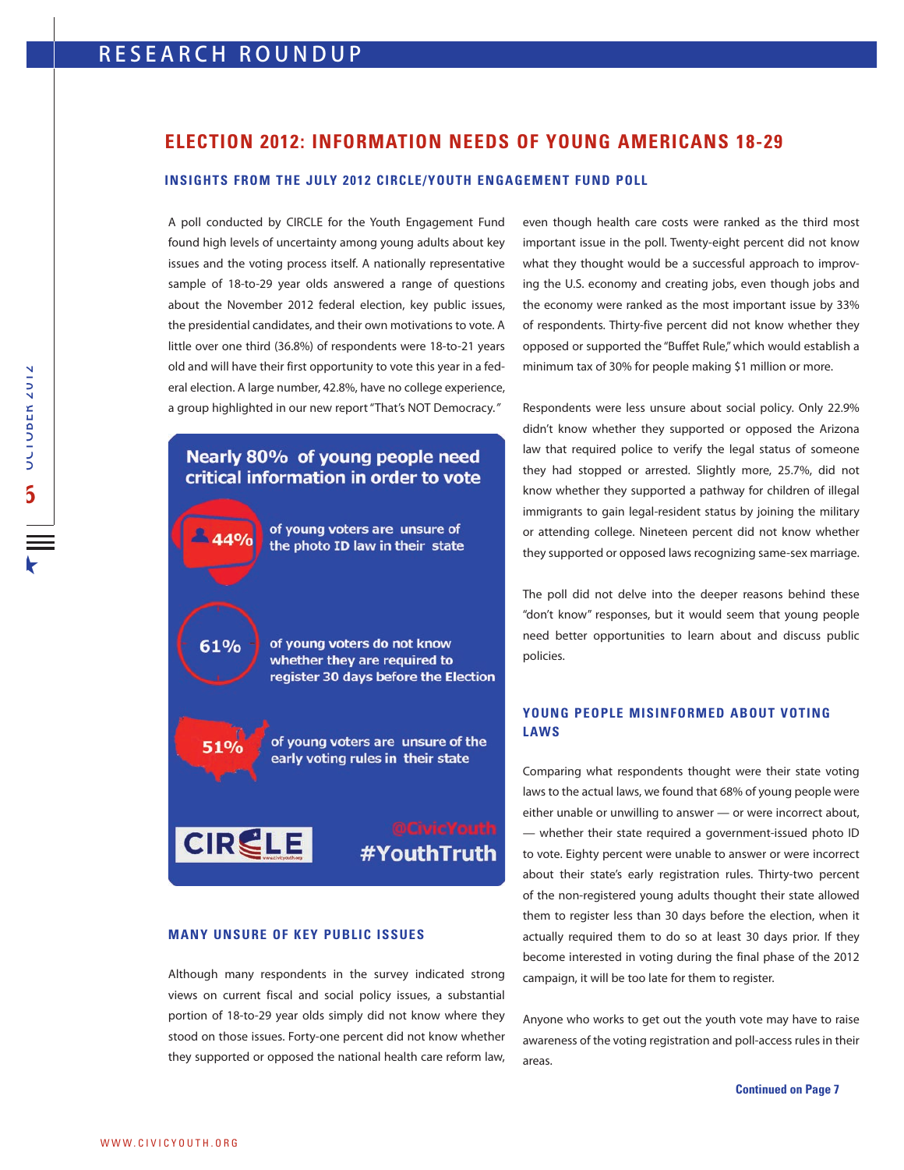## **ELECTION 2012: INFORMATION NEEDS OF YOUNG AMERICANS 18-29**

#### **INSIGHTS FROM THE JULY 2012 CIRCLE/YOUTH ENGAGEMENT FUND POLL**

A poll conducted by CIRCLE for the Youth Engagement Fund found high levels of uncertainty among young adults about key issues and the voting process itself. A nationally representative sample of 18-to-29 year olds answered a range of questions about the November 2012 federal election, key public issues, the presidential candidates, and their own motivations to vote. A little over one third (36.8%) of respondents were 18-to-21 years old and will have their first opportunity to vote this year in a federal election. A large number, 42.8%, have no college experience, a group highlighted in our new report "That's NOT Democracy."

# Nearly 80% of young people need critical information in order to vote

of young voters are unsure of  $44%$ the photo ID law in their state 61% of young voters do not know whether they are required to register 30 days before the Election of young voters are unsure of the **51%** early voting rules in their state **CIRCLE** #YouthTruth

#### **MANY UNSURE OF KEY PUBLIC ISSUES**

Although many respondents in the survey indicated strong views on current fiscal and social policy issues, a substantial portion of 18-to-29 year olds simply did not know where they stood on those issues. Forty-one percent did not know whether they supported or opposed the national health care reform law,

even though health care costs were ranked as the third most important issue in the poll. Twenty-eight percent did not know what they thought would be a successful approach to improving the U.S. economy and creating jobs, even though jobs and the economy were ranked as the most important issue by 33% of respondents. Thirty-five percent did not know whether they opposed or supported the "Buffet Rule," which would establish a minimum tax of 30% for people making \$1 million or more.

Respondents were less unsure about social policy. Only 22.9% didn't know whether they supported or opposed the Arizona law that required police to verify the legal status of someone they had stopped or arrested. Slightly more, 25.7%, did not know whether they supported a pathway for children of illegal immigrants to gain legal-resident status by joining the military or attending college. Nineteen percent did not know whether they supported or opposed laws recognizing same-sex marriage.

The poll did not delve into the deeper reasons behind these "don't know" responses, but it would seem that young people need better opportunities to learn about and discuss public policies.

## **YOUNG PEOPLE MISINFORMED ABOUT VOTING LAWS**

Comparing what respondents thought were their state voting laws to the actual laws, we found that 68% of young people were either unable or unwilling to answer — or were incorrect about, — whether their state required a government-issued photo ID to vote. Eighty percent were unable to answer or were incorrect about their state's early registration rules. Thirty-two percent of the non-registered young adults thought their state allowed them to register less than 30 days before the election, when it actually required them to do so at least 30 days prior. If they become interested in voting during the final phase of the 2012 campaign, it will be too late for them to register.

Anyone who works to get out the youth vote may have to raise awareness of the voting registration and poll-access rules in their areas.